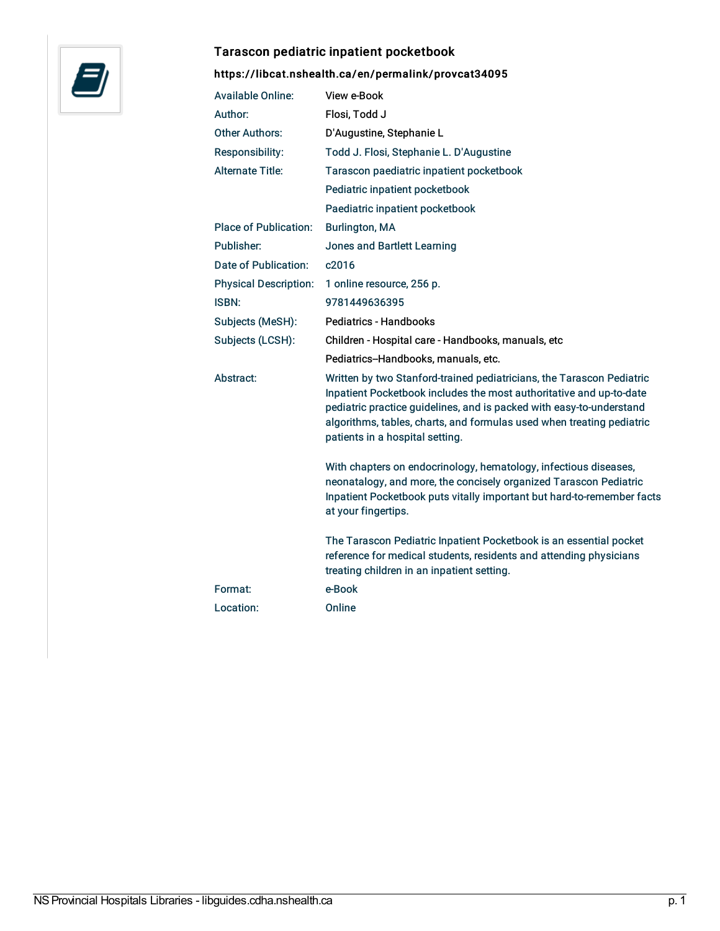

#### Tarascon pediatric inpatient pocketbook

## <https://libcat.nshealth.ca/en/permalink/provcat34095>

| <b>Available Online:</b>     | View e-Book                                                                                                                                                                                                                                                                                                                      |
|------------------------------|----------------------------------------------------------------------------------------------------------------------------------------------------------------------------------------------------------------------------------------------------------------------------------------------------------------------------------|
| Author:                      | Flosi, Todd J                                                                                                                                                                                                                                                                                                                    |
| <b>Other Authors:</b>        | D'Augustine, Stephanie L                                                                                                                                                                                                                                                                                                         |
| Responsibility:              | Todd J. Flosi, Stephanie L. D'Augustine                                                                                                                                                                                                                                                                                          |
| <b>Alternate Title:</b>      | Tarascon paediatric inpatient pocketbook                                                                                                                                                                                                                                                                                         |
|                              | Pediatric inpatient pocketbook                                                                                                                                                                                                                                                                                                   |
|                              | Paediatric inpatient pocketbook                                                                                                                                                                                                                                                                                                  |
| <b>Place of Publication:</b> | <b>Burlington, MA</b>                                                                                                                                                                                                                                                                                                            |
| Publisher:                   | Jones and Bartlett Learning                                                                                                                                                                                                                                                                                                      |
| Date of Publication:         | c2016                                                                                                                                                                                                                                                                                                                            |
| <b>Physical Description:</b> | 1 online resource, 256 p.                                                                                                                                                                                                                                                                                                        |
| <b>ISBN:</b>                 | 9781449636395                                                                                                                                                                                                                                                                                                                    |
| Subjects (MeSH):             | <b>Pediatrics - Handbooks</b>                                                                                                                                                                                                                                                                                                    |
| Subjects (LCSH):             | Children - Hospital care - Handbooks, manuals, etc                                                                                                                                                                                                                                                                               |
|                              | Pediatrics-Handbooks, manuals, etc.                                                                                                                                                                                                                                                                                              |
| Abstract:                    | Written by two Stanford-trained pediatricians, the Tarascon Pediatric<br>Inpatient Pocketbook includes the most authoritative and up-to-date<br>pediatric practice guidelines, and is packed with easy-to-understand<br>algorithms, tables, charts, and formulas used when treating pediatric<br>patients in a hospital setting. |
|                              | With chapters on endocrinology, hematology, infectious diseases,<br>neonatalogy, and more, the concisely organized Tarascon Pediatric<br>Inpatient Pocketbook puts vitally important but hard-to-remember facts<br>at your fingertips.                                                                                           |
|                              | The Tarascon Pediatric Inpatient Pocketbook is an essential pocket<br>reference for medical students, residents and attending physicians<br>treating children in an inpatient setting.                                                                                                                                           |
| Format:                      | e-Book                                                                                                                                                                                                                                                                                                                           |
| Location:                    | Online                                                                                                                                                                                                                                                                                                                           |
|                              |                                                                                                                                                                                                                                                                                                                                  |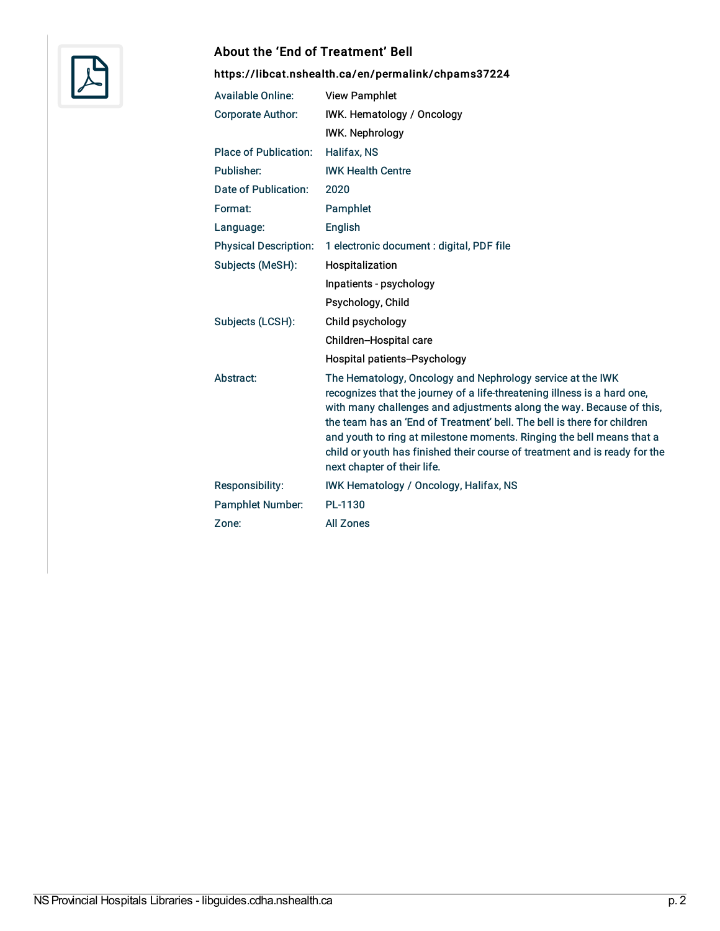

#### About the 'End of Treatment' Bell

## <https://libcat.nshealth.ca/en/permalink/chpams37224>

| <b>Available Online:</b>     | <b>View Pamphlet</b>                                                                                                                                                                                                                                                                                                                                                                                                                                                            |
|------------------------------|---------------------------------------------------------------------------------------------------------------------------------------------------------------------------------------------------------------------------------------------------------------------------------------------------------------------------------------------------------------------------------------------------------------------------------------------------------------------------------|
| <b>Corporate Author:</b>     | IWK. Hematology / Oncology                                                                                                                                                                                                                                                                                                                                                                                                                                                      |
|                              | <b>IWK. Nephrology</b>                                                                                                                                                                                                                                                                                                                                                                                                                                                          |
| <b>Place of Publication:</b> | Halifax, NS                                                                                                                                                                                                                                                                                                                                                                                                                                                                     |
| Publisher:                   | <b>IWK Health Centre</b>                                                                                                                                                                                                                                                                                                                                                                                                                                                        |
| Date of Publication:         | 2020                                                                                                                                                                                                                                                                                                                                                                                                                                                                            |
| Format:                      | Pamphlet                                                                                                                                                                                                                                                                                                                                                                                                                                                                        |
| Language:                    | English                                                                                                                                                                                                                                                                                                                                                                                                                                                                         |
| <b>Physical Description:</b> | 1 electronic document : digital, PDF file                                                                                                                                                                                                                                                                                                                                                                                                                                       |
| Subjects (MeSH):             | Hospitalization                                                                                                                                                                                                                                                                                                                                                                                                                                                                 |
|                              | Inpatients - psychology                                                                                                                                                                                                                                                                                                                                                                                                                                                         |
|                              | Psychology, Child                                                                                                                                                                                                                                                                                                                                                                                                                                                               |
| Subjects (LCSH):             | Child psychology                                                                                                                                                                                                                                                                                                                                                                                                                                                                |
|                              | Children-Hospital care                                                                                                                                                                                                                                                                                                                                                                                                                                                          |
|                              | Hospital patients--Psychology                                                                                                                                                                                                                                                                                                                                                                                                                                                   |
| Abstract:                    | The Hematology, Oncology and Nephrology service at the IWK<br>recognizes that the journey of a life-threatening illness is a hard one,<br>with many challenges and adjustments along the way. Because of this,<br>the team has an 'End of Treatment' bell. The bell is there for children<br>and youth to ring at milestone moments. Ringing the bell means that a<br>child or youth has finished their course of treatment and is ready for the<br>next chapter of their life. |
| <b>Responsibility:</b>       | <b>IWK Hematology / Oncology, Halifax, NS</b>                                                                                                                                                                                                                                                                                                                                                                                                                                   |
| <b>Pamphlet Number:</b>      | PL-1130                                                                                                                                                                                                                                                                                                                                                                                                                                                                         |
| Zone:                        | <b>All Zones</b>                                                                                                                                                                                                                                                                                                                                                                                                                                                                |